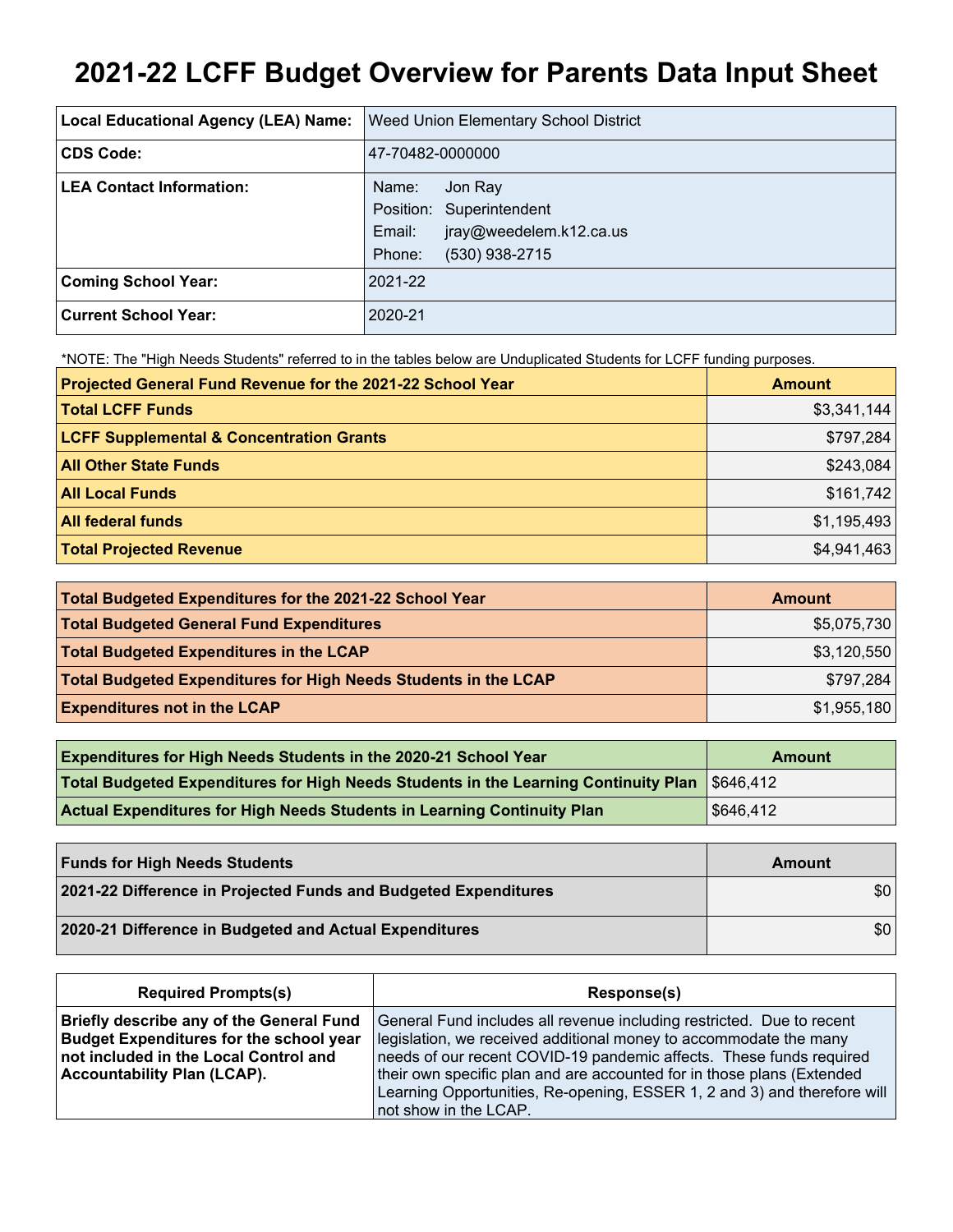# **2021-22 LCFF Budget Overview for Parents Data Input Sheet**

| Local Educational Agency (LEA) Name: | Weed Union Elementary School District                                                                         |
|--------------------------------------|---------------------------------------------------------------------------------------------------------------|
| <b>CDS Code:</b>                     | 47-70482-0000000                                                                                              |
| <b>LEA Contact Information:</b>      | Name:<br>Jon Ray<br>Position: Superintendent<br>jray@weedelem.k12.ca.us<br>Email:<br>Phone:<br>(530) 938-2715 |
| <b>Coming School Year:</b>           | 2021-22                                                                                                       |
| <b>Current School Year:</b>          | 2020-21                                                                                                       |

\*NOTE: The "High Needs Students" referred to in the tables below are Unduplicated Students for LCFF funding purposes.

| Projected General Fund Revenue for the 2021-22 School Year | <b>Amount</b> |
|------------------------------------------------------------|---------------|
| <b>Total LCFF Funds</b>                                    | \$3,341,144   |
| <b>LCFF Supplemental &amp; Concentration Grants</b>        | \$797,284     |
| <b>All Other State Funds</b>                               | \$243,084     |
| <b>All Local Funds</b>                                     | \$161,742     |
| <b>All federal funds</b>                                   | \$1,195,493   |
| <b>Total Projected Revenue</b>                             | \$4,941,463   |

| Total Budgeted Expenditures for the 2021-22 School Year         | Amount      |
|-----------------------------------------------------------------|-------------|
| <b>Total Budgeted General Fund Expenditures</b>                 | \$5,075,730 |
| <b>Total Budgeted Expenditures in the LCAP</b>                  | \$3,120,550 |
| Total Budgeted Expenditures for High Needs Students in the LCAP | \$797,284   |
| <b>Expenditures not in the LCAP</b>                             | \$1,955,180 |

| <b>Expenditures for High Needs Students in the 2020-21 School Year</b>                       | <b>Amount</b> |
|----------------------------------------------------------------------------------------------|---------------|
| Total Budgeted Expenditures for High Needs Students in the Learning Continuity Plan 5646,412 |               |
| <b>Actual Expenditures for High Needs Students in Learning Continuity Plan</b>               | \$646,412     |

| <b>Funds for High Needs Students</b>                            | Amount |
|-----------------------------------------------------------------|--------|
| 2021-22 Difference in Projected Funds and Budgeted Expenditures | \$0    |
| 2020-21 Difference in Budgeted and Actual Expenditures          | \$0    |

| <b>Required Prompts(s)</b>                                                                                                                                                | Response(s)                                                                                                                                                                                                                                                                                                                                                                                      |
|---------------------------------------------------------------------------------------------------------------------------------------------------------------------------|--------------------------------------------------------------------------------------------------------------------------------------------------------------------------------------------------------------------------------------------------------------------------------------------------------------------------------------------------------------------------------------------------|
| Briefly describe any of the General Fund<br><b>Budget Expenditures for the school year</b><br>not included in the Local Control and<br><b>Accountability Plan (LCAP).</b> | General Fund includes all revenue including restricted. Due to recent<br>legislation, we received additional money to accommodate the many<br>needs of our recent COVID-19 pandemic affects. These funds required<br>their own specific plan and are accounted for in those plans (Extended<br>Learning Opportunities, Re-opening, ESSER 1, 2 and 3) and therefore will<br>not show in the LCAP. |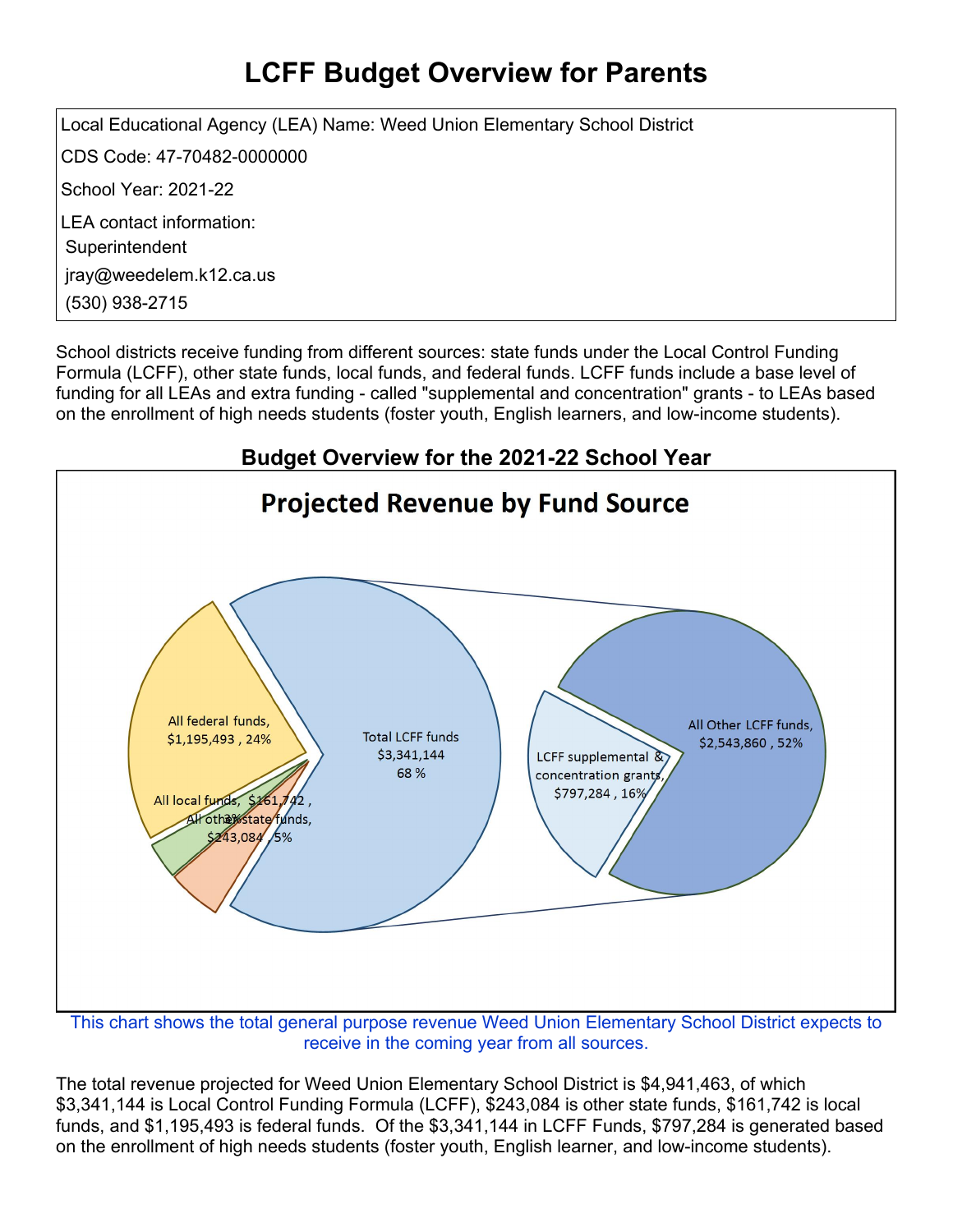## **LCFF Budget Overview for Parents**

Local Educational Agency (LEA) Name: Weed Union Elementary School District CDS Code: 47-70482-0000000 School Year: 2021-22 LEA contact information: **Superintendent** jray@weedelem.k12.ca.us (530) 938-2715

School districts receive funding from different sources: state funds under the Local Control Funding Formula (LCFF), other state funds, local funds, and federal funds. LCFF funds include a base level of funding for all LEAs and extra funding - called "supplemental and concentration" grants - to LEAs based on the enrollment of high needs students (foster youth, English learners, and low-income students).



receive in the coming year from all sources.

The total revenue projected for Weed Union Elementary School District is \$4,941,463, of which \$3,341,144 is Local Control Funding Formula (LCFF), \$243,084 is other state funds, \$161,742 is local funds, and \$1,195,493 is federal funds. Of the \$3,341,144 in LCFF Funds, \$797,284 is generated based on the enrollment of high needs students (foster youth, English learner, and low-income students).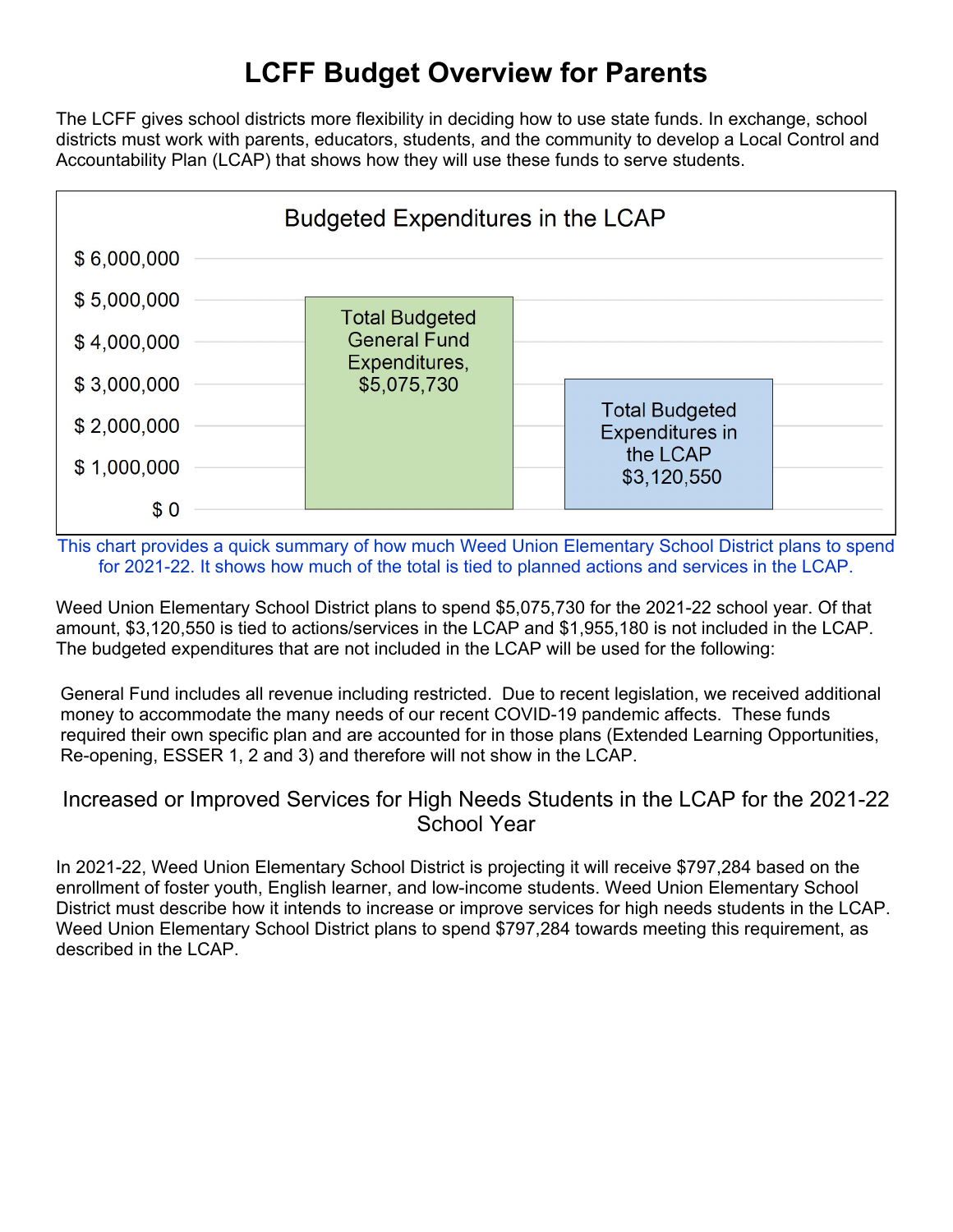### **LCFF Budget Overview for Parents**

The LCFF gives school districts more flexibility in deciding how to use state funds. In exchange, school districts must work with parents, educators, students, and the community to develop a Local Control and Accountability Plan (LCAP) that shows how they will use these funds to serve students.



This chart provides a quick summary of how much Weed Union Elementary School District plans to spend for 2021-22. It shows how much of the total is tied to planned actions and services in the LCAP.

Weed Union Elementary School District plans to spend \$5,075,730 for the 2021-22 school year. Of that amount, \$3,120,550 is tied to actions/services in the LCAP and \$1,955,180 is not included in the LCAP. The budgeted expenditures that are not included in the LCAP will be used for the following:

General Fund includes all revenue including restricted. Due to recent legislation, we received additional money to accommodate the many needs of our recent COVID-19 pandemic affects. These funds required their own specific plan and are accounted for in those plans (Extended Learning Opportunities, Re-opening, ESSER 1, 2 and 3) and therefore will not show in the LCAP.

#### Increased or Improved Services for High Needs Students in the LCAP for the 2021-22 School Year

In 2021-22, Weed Union Elementary School District is projecting it will receive \$797,284 based on the enrollment of foster youth, English learner, and low-income students. Weed Union Elementary School District must describe how it intends to increase or improve services for high needs students in the LCAP. Weed Union Elementary School District plans to spend \$797,284 towards meeting this requirement, as described in the LCAP